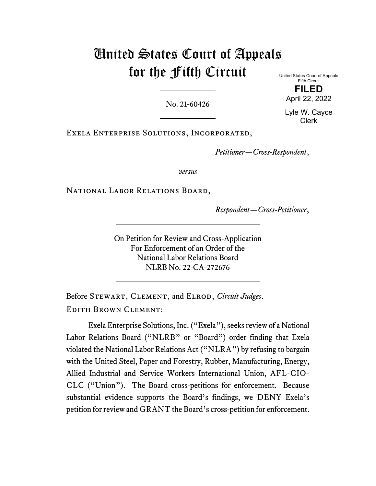# United States Court of Appeals for the Fifth Circuit

No. 21-60426

United States Court of Appeals Fifth Circuit **FILED**

April 22, 2022

Lyle W. Cayce Clerk

Exela Enterprise Solutions, Incorporated,

*Petitioner—Cross-Respondent*,

*versus*

NATIONAL LABOR RELATIONS BOARD,

*Respondent—Cross-Petitioner*,

On Petition for Review and Cross-Application For Enforcement of an Order of the National Labor Relations Board NLRB No. 22-CA-272676

Before Stewart, Clement, and Elrod, *Circuit Judges*. Edith Brown Clement:

Exela Enterprise Solutions, Inc. ("Exela"), seeks review of a National Labor Relations Board ("NLRB" or "Board") order finding that Exela violated the National Labor Relations Act ("NLRA") by refusing to bargain with the United Steel, Paper and Forestry, Rubber, Manufacturing, Energy, Allied Industrial and Service Workers International Union, AFL-CIO-CLC ("Union"). The Board cross-petitions for enforcement. Because substantial evidence supports the Board's findings, we DENY Exela's petition for review and GRANT the Board's cross-petition for enforcement.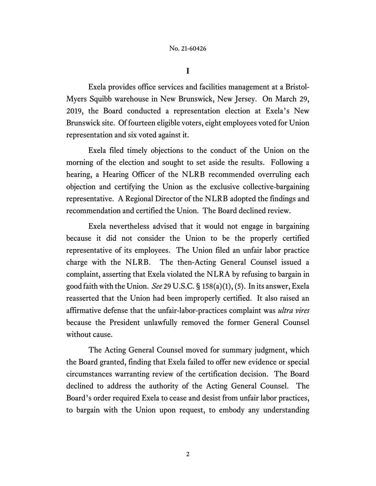**I**

Exela provides office services and facilities management at a Bristol-Myers Squibb warehouse in New Brunswick, New Jersey. On March 29, 2019, the Board conducted a representation election at Exela's New Brunswick site. Of fourteen eligible voters, eight employees voted for Union representation and six voted against it.

Exela filed timely objections to the conduct of the Union on the morning of the election and sought to set aside the results. Following a hearing, a Hearing Officer of the NLRB recommended overruling each objection and certifying the Union as the exclusive collective-bargaining representative. A Regional Director of the NLRB adopted the findings and recommendation and certified the Union. The Board declined review.

Exela nevertheless advised that it would not engage in bargaining because it did not consider the Union to be the properly certified representative of its employees. The Union filed an unfair labor practice charge with the NLRB. The then-Acting General Counsel issued a complaint, asserting that Exela violated the NLRA by refusing to bargain in good faith with the Union. *See* 29 U.S.C. § 158(a)(1), (5). In its answer, Exela reasserted that the Union had been improperly certified. It also raised an affirmative defense that the unfair-labor-practices complaint was *ultra vires* because the President unlawfully removed the former General Counsel without cause.

The Acting General Counsel moved for summary judgment, which the Board granted, finding that Exela failed to offer new evidence or special circumstances warranting review of the certification decision. The Board declined to address the authority of the Acting General Counsel. The Board's order required Exela to cease and desist from unfair labor practices, to bargain with the Union upon request, to embody any understanding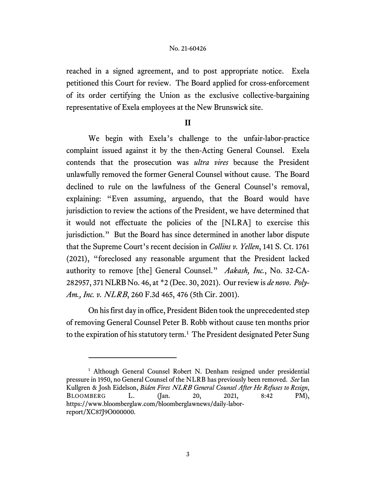reached in a signed agreement, and to post appropriate notice. Exela petitioned this Court for review. The Board applied for cross-enforcement of its order certifying the Union as the exclusive collective-bargaining representative of Exela employees at the New Brunswick site.

# **II**

We begin with Exela's challenge to the unfair-labor-practice complaint issued against it by the then-Acting General Counsel. Exela contends that the prosecution was *ultra vires* because the President unlawfully removed the former General Counsel without cause. The Board declined to rule on the lawfulness of the General Counsel's removal, explaining: "Even assuming, arguendo, that the Board would have jurisdiction to review the actions of the President, we have determined that it would not effectuate the policies of the [NLRA] to exercise this jurisdiction." But the Board has since determined in another labor dispute that the Supreme Court's recent decision in *Collins v. Yellen*, 141 S. Ct. 1761 (2021), "foreclosed any reasonable argument that the President lacked authority to remove [the] General Counsel." *Aakash, Inc.*, No. 32-CA-282957, 371 NLRB No. 46, at \*2 (Dec. 30, 2021).Our review is *de novo*. *Poly-Am., Inc. v.* NLRB, 260 F.3d 465, 476 (5th Cir. 2001).

On his first day in office, President Biden took the unprecedented step of removing General Counsel Peter B. Robb without cause ten months prior to the expiration of his statutory term. [1](#page-2-0) The President designated Peter Sung

<span id="page-2-0"></span><sup>&</sup>lt;sup>1</sup> Although General Counsel Robert N. Denham resigned under presidential pressure in 1950, no General Counsel of the NLRB has previously been removed. *See* Ian Kullgren & Josh Eidelson, *Biden Fires* NLRB *General Counsel After He Refuses to Resign*, BLOOMBERG L. (Jan. 20, 2021, 8:42 PM), https://www.bloomberglaw.com/bloomberglawnews/daily-laborreport/XC87J9O000000.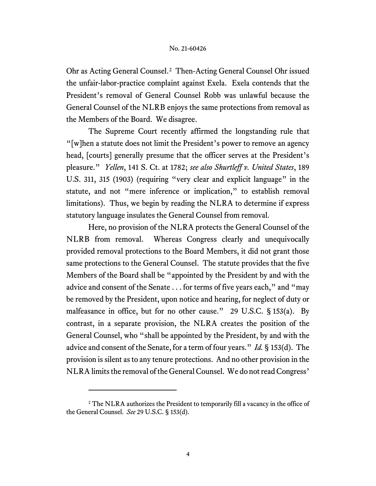Ohr as Acting General Counsel.[2](#page-3-0) Then-Acting General Counsel Ohr issued the unfair-labor-practice complaint against Exela. Exela contends that the President's removal of General Counsel Robb was unlawful because the General Counsel of the NLRB enjoys the same protections from removal as the Members of the Board. We disagree.

The Supreme Court recently affirmed the longstanding rule that "[w]hen a statute does not limit the President's power to remove an agency head, [courts] generally presume that the officer serves at the President's pleasure." *Yellen*, 141 S. Ct. at 1782; *see also Shurtleff v. United States*, 189 U.S. 311, 315 (1903) (requiring "very clear and explicit language" in the statute, and not "mere inference or implication," to establish removal limitations). Thus, we begin by reading the NLRA to determine if express statutory language insulates the General Counsel from removal.

Here, no provision of the NLRA protects the General Counsel of the NLRB from removal. Whereas Congress clearly and unequivocally provided removal protections to the Board Members, it did not grant those same protections to the General Counsel. The statute provides that the five Members of the Board shall be "appointed by the President by and with the advice and consent of the Senate . . . for terms of five years each," and "may be removed by the President, upon notice and hearing, for neglect of duty or malfeasance in office, but for no other cause." 29 U.S.C. § 153(a). By contrast, in a separate provision, the NLRA creates the position of the General Counsel, who "shall be appointed by the President, by and with the advice and consent of the Senate, for a term of four years." *Id.* § 153(d). The provision is silent as to any tenure protections. And no other provision in the NLRA limits the removal of the General Counsel. We do not read Congress'

<span id="page-3-0"></span><sup>&</sup>lt;sup>2</sup> The NLRA authorizes the President to temporarily fill a vacancy in the office of the General Counsel. *See* 29 U.S.C. § 153(d).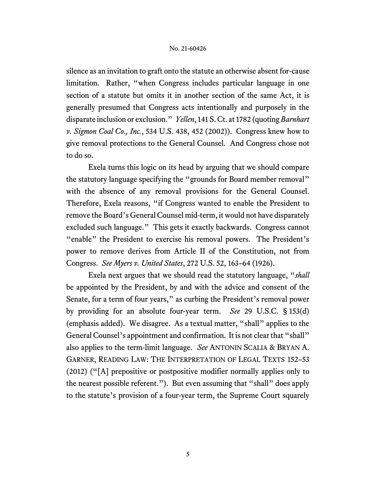silence as an invitation to graft onto the statute an otherwise absent for-cause limitation. Rather, "when Congress includes particular language in one section of a statute but omits it in another section of the same Act, it is generally presumed that Congress acts intentionally and purposely in the disparate inclusion or exclusion." *Yellen*, 141 S. Ct. at 1782 (quoting *Barnhart v. Sigmon Coal Co., Inc.*, 534 U.S. 438, 452 (2002)). Congress knew how to give removal protections to the General Counsel. And Congress chose not to do so.

Exela turns this logic on its head by arguing that we should compare the statutory language specifying the "grounds for Board member removal" with the absence of any removal provisions for the General Counsel. Therefore, Exela reasons, "if Congress wanted to enable the President to remove the Board's General Counsel mid-term, it would not have disparately excluded such language." This gets it exactly backwards. Congress cannot "enable" the President to exercise his removal powers. The President's power to remove derives from Article II of the Constitution, not from Congress. *See Myers v. United States*, 272 U.S. 52, 163–64 (1926).

Exela next argues that we should read the statutory language, "*shall* be appointed by the President, by and with the advice and consent of the Senate, for a term of four years," as curbing the President's removal power by providing for an absolute four-year term. *See* 29 U.S.C. § 153(d) (emphasis added). We disagree. As a textual matter, "shall" applies to the General Counsel's appointment and confirmation. It is not clear that "shall" also applies to the term-limit language. *See* ANTONIN SCALIA & BRYAN A. GARNER, READING LAW: THE INTERPRETATION OF LEGAL TEXTS 152–53 (2012) ("[A] prepositive or postpositive modifier normally applies only to the nearest possible referent."). But even assuming that "shall" does apply to the statute's provision of a four-year term, the Supreme Court squarely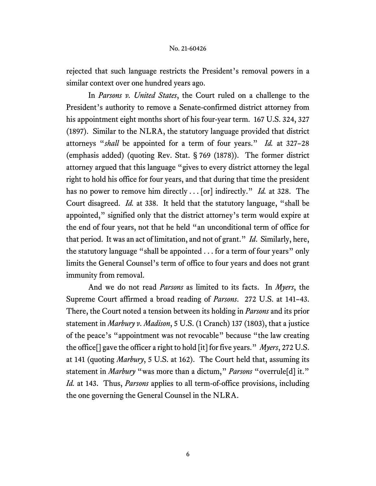rejected that such language restricts the President's removal powers in a similar context over one hundred years ago.

In *Parsons v. United States*, the Court ruled on a challenge to the President's authority to remove a Senate-confirmed district attorney from his appointment eight months short of his four-year term. 167 U.S. 324, 327 (1897). Similar to the NLRA, the statutory language provided that district attorneys "*shall* be appointed for a term of four years." *Id.* at 327–28 (emphasis added) (quoting Rev. Stat. § 769 (1878)). The former district attorney argued that this language "gives to every district attorney the legal right to hold his office for four years, and that during that time the president has no power to remove him directly . . . [or] indirectly." *Id.* at 328. The Court disagreed. *Id.* at 338. It held that the statutory language, "shall be appointed," signified only that the district attorney's term would expire at the end of four years, not that he held "an unconditional term of office for that period. It was an act of limitation, and not of grant." *Id*. Similarly, here, the statutory language "shall be appointed . . . for a term of four years" only limits the General Counsel's term of office to four years and does not grant immunity from removal.

And we do not read *Parsons* as limited to its facts. In *Myers*, the Supreme Court affirmed a broad reading of *Parsons*. 272 U.S. at 141–43. There, the Court noted a tension between its holding in *Parsons* and its prior statement in *Marbury v. Madison*, 5 U.S. (1 Cranch) 137 (1803), that a justice of the peace's "appointment was not revocable" because "the law creating the office[] gave the officer a right to hold [it] for five years." *Myers*, 272 U.S. at 141 (quoting *Marbury*, 5 U.S. at 162). The Court held that, assuming its statement in *Marbury* "was more than a dictum," *Parsons* "overrule[d] it." *Id.* at 143. Thus, *Parsons* applies to all term-of-office provisions, including the one governing the General Counsel in the NLRA.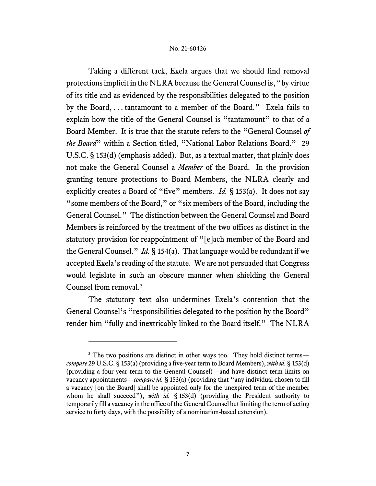Taking a different tack, Exela argues that we should find removal protections implicit in the NLRA because the General Counsel is, "by virtue of its title and as evidenced by the responsibilities delegated to the position by the Board, . . . tantamount to a member of the Board." Exela fails to explain how the title of the General Counsel is "tantamount" to that of a Board Member. It is true that the statute refers to the "General Counsel *of the Board*" within a Section titled, "National Labor Relations Board." 29 U.S.C. § 153(d) (emphasis added). But, as a textual matter, that plainly does not make the General Counsel a *Member* of the Board. In the provision granting tenure protections to Board Members, the NLRA clearly and explicitly creates a Board of "five" members. *Id.* § 153(a). It does not say "some members of the Board," or "six members of the Board, including the General Counsel." The distinction between the General Counsel and Board Members is reinforced by the treatment of the two offices as distinct in the statutory provision for reappointment of "[e]ach member of the Board and the General Counsel." *Id.* § 154(a). That language would be redundant if we accepted Exela's reading of the statute. We are not persuaded that Congress would legislate in such an obscure manner when shielding the General Counsel from removal. [3](#page-6-0)

The statutory text also undermines Exela's contention that the General Counsel's "responsibilities delegated to the position by the Board" render him "fully and inextricably linked to the Board itself." The NLRA

<span id="page-6-0"></span><sup>&</sup>lt;sup>3</sup> The two positions are distinct in other ways too. They hold distinct terms *compare* 29 U.S.C. § 153(a) (providing a five-year term to Board Members), *with id.* § 153(d) (providing a four-year term to the General Counsel)—and have distinct term limits on vacancy appointments—*compare id.* § 153(a) (providing that "any individual chosen to fill a vacancy [on the Board] shall be appointed only for the unexpired term of the member whom he shall succeed"), *with id.* § 153(d) (providing the President authority to temporarily fill a vacancy in the office of the General Counsel but limiting the term of acting service to forty days, with the possibility of a nomination-based extension).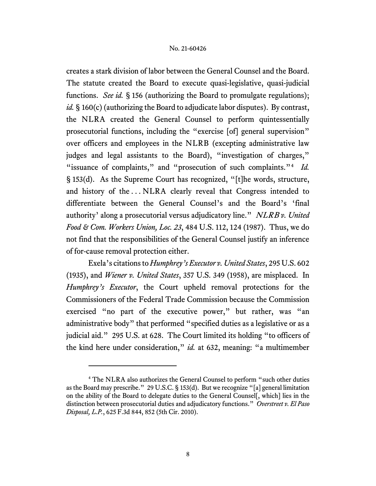creates a stark division of labor between the General Counsel and the Board. The statute created the Board to execute quasi-legislative, quasi-judicial functions. *See id.* § 156 (authorizing the Board to promulgate regulations); *id.* § 160(c) (authorizing the Board to adjudicate labor disputes). By contrast, the NLRA created the General Counsel to perform quintessentially prosecutorial functions, including the "exercise [of] general supervision" over officers and employees in the NLRB (excepting administrative law judges and legal assistants to the Board), "investigation of charges," "issuance of complaints," and "prosecution of such complaints."<sup>[4](#page-7-0)</sup> *Id.* § 153(d). As the Supreme Court has recognized, "[t]he words, structure, and history of the ... NLRA clearly reveal that Congress intended to differentiate between the General Counsel's and the Board's 'final authority' along a prosecutorial versus adjudicatory line." NLRB *v. United Food & Com. Workers Union, Loc. 23*, 484 U.S. 112, 124 (1987). Thus, we do not find that the responsibilities of the General Counsel justify an inference of for-cause removal protection either.

Exela's citations to *Humphrey's Executor v. United States*, 295 U.S. 602 (1935), and *Wiener v. United States*, 357 U.S. 349 (1958), are misplaced. In *Humphrey's Executor*, the Court upheld removal protections for the Commissioners of the Federal Trade Commission because the Commission exercised "no part of the executive power," but rather, was "an administrative body" that performed "specified duties as a legislative or as a judicial aid." 295 U.S. at 628. The Court limited its holding "to officers of the kind here under consideration," *id.* at 632, meaning: "a multimember

<span id="page-7-0"></span><sup>4</sup> The NLRA also authorizes the General Counsel to perform "such other duties as the Board may prescribe." 29 U.S.C. § 153(d). But we recognize "[a] general limitation on the ability of the Board to delegate duties to the General Counsel[, which] lies in the distinction between prosecutorial duties and adjudicatory functions." *Overstreet v. El Paso Disposal, L.P.*, 625 F.3d 844, 852 (5th Cir. 2010).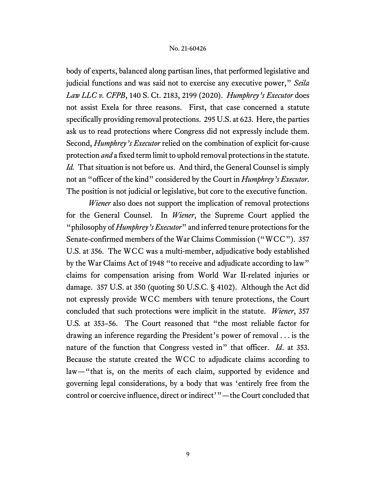body of experts, balanced along partisan lines, that performed legislative and judicial functions and was said not to exercise any executive power," *Seila Law LLC v. CFPB*, 140 S. Ct. 2183, 2199 (2020). *Humphrey's Executor* does not assist Exela for three reasons. First, that case concerned a statute specifically providing removal protections. 295 U.S. at 623. Here, the parties ask us to read protections where Congress did not expressly include them. Second, *Humphrey's Executor* relied on the combination of explicit for-cause protection *and* a fixed term limit to uphold removal protections in the statute. *Id.* That situation is not before us. And third, the General Counsel is simply not an "officer of the kind" considered by the Court in *Humphrey's Executor*. The position is not judicial or legislative, but core to the executive function.

*Wiener* also does not support the implication of removal protections for the General Counsel. In *Wiener*, the Supreme Court applied the "philosophy of *Humphrey's Executor*" and inferred tenure protections for the Senate-confirmed members of the War Claims Commission ("WCC"). 357 U.S. at 356. The WCC was a multi-member, adjudicative body established by the War Claims Act of 1948 "to receive and adjudicate according to law" claims for compensation arising from World War II-related injuries or damage. 357 U.S. at 350 (quoting 50 U.S.C. § 4102). Although the Act did not expressly provide WCC members with tenure protections, the Court concluded that such protections were implicit in the statute. *Wiener*, 357 U.S*.* at 353–56. The Court reasoned that "the most reliable factor for drawing an inference regarding the President's power of removal . . . is the nature of the function that Congress vested in" that officer. *Id*. at 353. Because the statute created the WCC to adjudicate claims according to law—"that is, on the merits of each claim, supported by evidence and governing legal considerations, by a body that was 'entirely free from the control or coercive influence, direct or indirect'"—the Court concluded that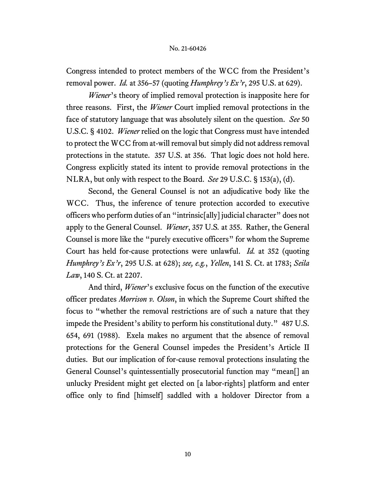Congress intended to protect members of the WCC from the President's removal power. *Id.* at 356–57 (quoting *Humphrey's Ex'r*, 295 U.S. at 629).

*Wiener*'s theory of implied removal protection is inapposite here for three reasons. First, the *Wiener* Court implied removal protections in the face of statutory language that was absolutely silent on the question. *See* 50 U.S.C. § 4102. *Wiener* relied on the logic that Congress must have intended to protect the WCC from at-will removal but simply did not address removal protections in the statute. 357 U.S. at 356. That logic does not hold here. Congress explicitly stated its intent to provide removal protections in the NLRA, but only with respect to the Board. *See* 29 U.S.C. § 153(a), (d).

Second, the General Counsel is not an adjudicative body like the WCC. Thus, the inference of tenure protection accorded to executive officers who perform duties of an "intrinsic[ally] judicial character" does not apply to the General Counsel. *Wiener*, 357 U.S*.* at 355. Rather, the General Counsel is more like the "purely executive officers" for whom the Supreme Court has held for-cause protections were unlawful. *Id.* at 352 (quoting *Humphrey's Ex'r*, 295 U.S. at 628); *see, e.g.*, *Yellen*, 141 S. Ct. at 1783; *Seila Law*, 140 S. Ct. at 2207.

And third, *Wiener*'s exclusive focus on the function of the executive officer predates *Morrison v. Olson*, in which the Supreme Court shifted the focus to "whether the removal restrictions are of such a nature that they impede the President's ability to perform his constitutional duty." 487 U.S. 654, 691 (1988). Exela makes no argument that the absence of removal protections for the General Counsel impedes the President's Article II duties. But our implication of for-cause removal protections insulating the General Counsel's quintessentially prosecutorial function may "mean[] an unlucky President might get elected on [a labor-rights] platform and enter office only to find [himself] saddled with a holdover Director from a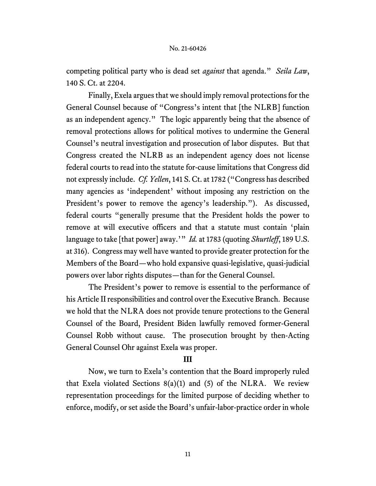competing political party who is dead set *against* that agenda." *Seila Law*, 140 S. Ct. at 2204.

Finally, Exela argues that we should imply removal protections for the General Counsel because of "Congress's intent that [the NLRB] function as an independent agency." The logic apparently being that the absence of removal protections allows for political motives to undermine the General Counsel's neutral investigation and prosecution of labor disputes. But that Congress created the NLRB as an independent agency does not license federal courts to read into the statute for-cause limitations that Congress did not expressly include. *Cf. Yellen*, 141 S. Ct. at 1782 ("Congress has described many agencies as 'independent' without imposing any restriction on the President's power to remove the agency's leadership."). As discussed, federal courts "generally presume that the President holds the power to remove at will executive officers and that a statute must contain 'plain language to take [that power] away.'" *Id.* at 1783 (quoting *Shurtleff*, 189 U.S. at 316). Congress may well have wanted to provide greater protection for the Members of the Board—who hold expansive quasi-legislative, quasi-judicial powers over labor rights disputes—than for the General Counsel.

The President's power to remove is essential to the performance of his Article II responsibilities and control over the Executive Branch. Because we hold that the NLRA does not provide tenure protections to the General Counsel of the Board, President Biden lawfully removed former-General Counsel Robb without cause. The prosecution brought by then-Acting General Counsel Ohr against Exela was proper.

## **III**

Now, we turn to Exela's contention that the Board improperly ruled that Exela violated Sections  $8(a)(1)$  and  $(5)$  of the NLRA. We review representation proceedings for the limited purpose of deciding whether to enforce, modify, or set aside the Board's unfair-labor-practice order in whole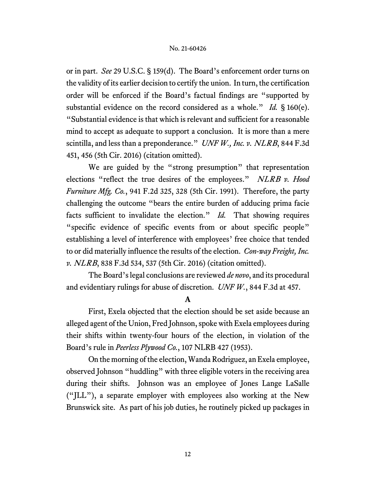or in part. *See* 29 U.S.C. § 159(d). The Board's enforcement order turns on the validity of its earlier decision to certify the union. In turn, the certification order will be enforced if the Board's factual findings are "supported by substantial evidence on the record considered as a whole." *Id.* § 160(e). "Substantial evidence is that which is relevant and sufficient for a reasonable mind to accept as adequate to support a conclusion. It is more than a mere scintilla, and less than a preponderance." *UNF W., Inc. v. NLRB*, 844 F.3d 451, 456 (5th Cir. 2016) (citation omitted).

We are guided by the "strong presumption" that representation elections "reflect the true desires of the employees." NLRB *v. Hood Furniture Mfg. Co.*, 941 F.2d 325, 328 (5th Cir. 1991). Therefore, the party challenging the outcome "bears the entire burden of adducing prima facie facts sufficient to invalidate the election." *Id.* That showing requires "specific evidence of specific events from or about specific people" establishing a level of interference with employees' free choice that tended to or did materially influence the results of the election. *Con-way Freight, Inc. v.* NLRB, 838 F.3d 534, 537 (5th Cir. 2016) (citation omitted).

The Board's legal conclusions are reviewed *de novo*, and its procedural and evidentiary rulings for abuse of discretion. *UNF W.*, 844 F.3d at 457.

**A**

First, Exela objected that the election should be set aside because an alleged agent of the Union, Fred Johnson, spoke with Exela employees during their shifts within twenty-four hours of the election, in violation of the Board's rule in *Peerless Plywood Co.*, 107 NLRB 427 (1953).

On the morning of the election, Wanda Rodriguez, an Exela employee, observed Johnson "huddling" with three eligible voters in the receiving area during their shifts. Johnson was an employee of Jones Lange LaSalle ("JLL"), a separate employer with employees also working at the New Brunswick site. As part of his job duties, he routinely picked up packages in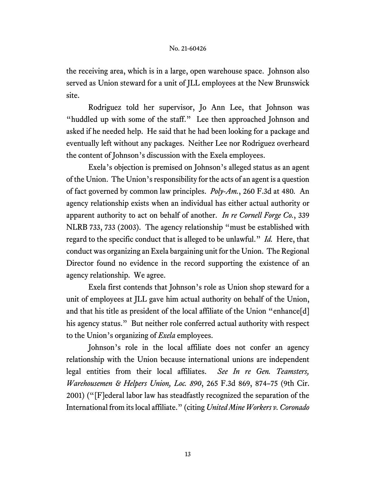the receiving area, which is in a large, open warehouse space. Johnson also served as Union steward for a unit of JLL employees at the New Brunswick site.

Rodriguez told her supervisor, Jo Ann Lee, that Johnson was "huddled up with some of the staff." Lee then approached Johnson and asked if he needed help. He said that he had been looking for a package and eventually left without any packages. Neither Lee nor Rodriguez overheard the content of Johnson's discussion with the Exela employees.

Exela's objection is premised on Johnson's alleged status as an agent of the Union. The Union's responsibility for the acts of an agent is a question of fact governed by common law principles. *Poly-Am.*, 260 F.3d at 480*.* An agency relationship exists when an individual has either actual authority or apparent authority to act on behalf of another. *In re Cornell Forge Co.*, 339 NLRB 733, 733 (2003). The agency relationship "must be established with regard to the specific conduct that is alleged to be unlawful." *Id.* Here, that conduct was organizing an Exela bargaining unit for the Union. The Regional Director found no evidence in the record supporting the existence of an agency relationship. We agree.

Exela first contends that Johnson's role as Union shop steward for a unit of employees at JLL gave him actual authority on behalf of the Union, and that his title as president of the local affiliate of the Union "enhance[d] his agency status." But neither role conferred actual authority with respect to the Union's organizing of *Exela* employees.

Johnson's role in the local affiliate does not confer an agency relationship with the Union because international unions are independent legal entities from their local affiliates. *See In re Gen. Teamsters, Warehousemen & Helpers Union, Loc. 890*, 265 F.3d 869, 874–75 (9th Cir. 2001) ("[F]ederal labor law has steadfastly recognized the separation of the International from its local affiliate." (citing *United Mine Workers v. Coronado*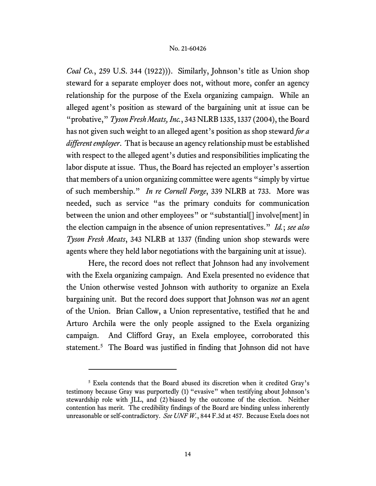*Coal Co.*, 259 U.S. 344 (1922))). Similarly, Johnson's title as Union shop steward for a separate employer does not, without more, confer an agency relationship for the purpose of the Exela organizing campaign. While an alleged agent's position as steward of the bargaining unit at issue can be "probative," *Tyson Fresh Meats, Inc.*, 343 NLRB 1335, 1337 (2004), the Board has not given such weight to an alleged agent's position as shop steward *for a different employer*. That is because an agency relationship must be established with respect to the alleged agent's duties and responsibilities implicating the labor dispute at issue. Thus, the Board has rejected an employer's assertion that members of a union organizing committee were agents "simply by virtue of such membership." *In re Cornell Forge*, 339 NLRB at 733. More was needed, such as service "as the primary conduits for communication between the union and other employees" or "substantial[] involve[ment] in the election campaign in the absence of union representatives." *Id.*; *see also Tyson Fresh Meats*, 343 NLRB at 1337 (finding union shop stewards were agents where they held labor negotiations with the bargaining unit at issue).

Here, the record does not reflect that Johnson had any involvement with the Exela organizing campaign. And Exela presented no evidence that the Union otherwise vested Johnson with authority to organize an Exela bargaining unit. But the record does support that Johnson was *not* an agent of the Union. Brian Callow, a Union representative, testified that he and Arturo Archila were the only people assigned to the Exela organizing campaign. And Clifford Gray, an Exela employee, corroborated this statement.<sup>[5](#page-13-0)</sup> The Board was justified in finding that Johnson did not have

<span id="page-13-0"></span><sup>5</sup> Exela contends that the Board abused its discretion when it credited Gray's testimony because Gray was purportedly (1) "evasive" when testifying about Johnson's stewardship role with JLL, and (2) biased by the outcome of the election. Neither contention has merit. The credibility findings of the Board are binding unless inherently unreasonable or self-contradictory. *See UNF W.*, 844 F.3d at 457. Because Exela does not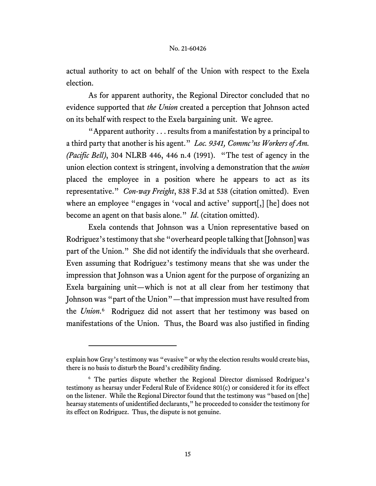actual authority to act on behalf of the Union with respect to the Exela election.

As for apparent authority, the Regional Director concluded that no evidence supported that *the Union* created a perception that Johnson acted on its behalf with respect to the Exela bargaining unit. We agree.

"Apparent authority . . . results from a manifestation by a principal to a third party that another is his agent." *Loc. 9341, Commc'ns Workers of Am. (Pacific Bell)*, 304 NLRB 446, 446 n.4 (1991). "The test of agency in the union election context is stringent, involving a demonstration that the *union* placed the employee in a position where he appears to act as its representative." *Con-way Freight*, 838 F.3d at 538 (citation omitted). Even where an employee "engages in 'vocal and active' support[,] [he] does not become an agent on that basis alone." *Id*. (citation omitted).

Exela contends that Johnson was a Union representative based on Rodriguez's testimony that she "overheard people talking that [Johnson] was part of the Union." She did not identify the individuals that she overheard. Even assuming that Rodriguez's testimony means that she was under the impression that Johnson was a Union agent for the purpose of organizing an Exela bargaining unit—which is not at all clear from her testimony that Johnson was "part of the Union"—that impression must have resulted from the *Union*. [6](#page-14-0) Rodriguez did not assert that her testimony was based on manifestations of the Union. Thus, the Board was also justified in finding

explain how Gray's testimony was "evasive" or why the election results would create bias, there is no basis to disturb the Board's credibility finding.

<span id="page-14-0"></span><sup>6</sup> The parties dispute whether the Regional Director dismissed Rodriguez's testimony as hearsay under Federal Rule of Evidence 801(c) or considered it for its effect on the listener. While the Regional Director found that the testimony was "based on [the] hearsay statements of unidentified declarants," he proceeded to consider the testimony for its effect on Rodriguez. Thus, the dispute is not genuine.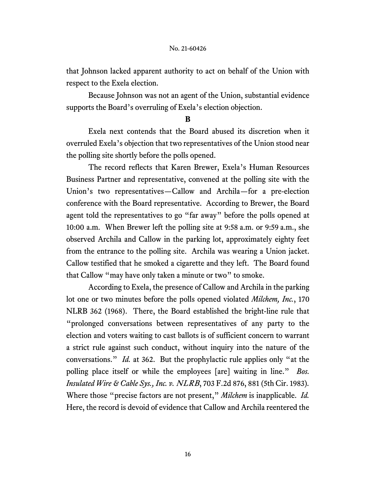that Johnson lacked apparent authority to act on behalf of the Union with respect to the Exela election.

Because Johnson was not an agent of the Union, substantial evidence supports the Board's overruling of Exela's election objection.

# **B**

Exela next contends that the Board abused its discretion when it overruled Exela's objection that two representatives of the Union stood near the polling site shortly before the polls opened.

The record reflects that Karen Brewer, Exela's Human Resources Business Partner and representative, convened at the polling site with the Union's two representatives—Callow and Archila—for a pre-election conference with the Board representative. According to Brewer, the Board agent told the representatives to go "far away" before the polls opened at 10:00 a.m. When Brewer left the polling site at 9:58 a.m. or 9:59 a.m., she observed Archila and Callow in the parking lot, approximately eighty feet from the entrance to the polling site. Archila was wearing a Union jacket. Callow testified that he smoked a cigarette and they left. The Board found that Callow "may have only taken a minute or two" to smoke.

According to Exela, the presence of Callow and Archila in the parking lot one or two minutes before the polls opened violated *Milchem, Inc.*, 170 NLRB 362 (1968). There, the Board established the bright-line rule that "prolonged conversations between representatives of any party to the election and voters waiting to cast ballots is of sufficient concern to warrant a strict rule against such conduct, without inquiry into the nature of the conversations." *Id.* at 362. But the prophylactic rule applies only "at the polling place itself or while the employees [are] waiting in line." *Bos. Insulated Wire & Cable Sys., Inc. v.* NLRB, 703 F.2d 876, 881 (5th Cir. 1983)*.* Where those "precise factors are not present," *Milchem* is inapplicable. *Id.* Here, the record is devoid of evidence that Callow and Archila reentered the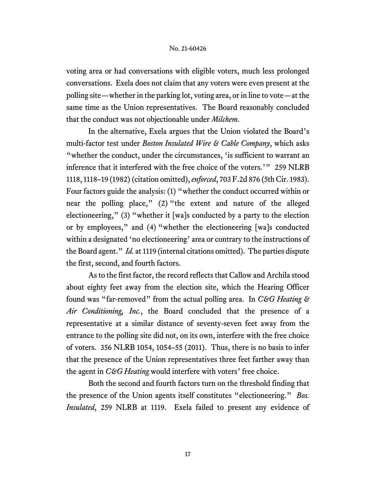voting area or had conversations with eligible voters, much less prolonged conversations. Exela does not claim that any voters were even present at the polling site—whether in the parking lot, voting area, or in line to vote—at the same time as the Union representatives. The Board reasonably concluded that the conduct was not objectionable under *Milchem*.

In the alternative, Exela argues that the Union violated the Board's multi-factor test under *Boston Insulated Wire & Cable Company*, which asks "whether the conduct, under the circumstances, 'is sufficient to warrant an inference that it interfered with the free choice of the voters.'" 259 NLRB 1118, 1118–19 (1982)(citation omitted),*enforced*, 703 F.2d 876 (5th Cir. 1983). Four factors guide the analysis: (1) "whether the conduct occurred within or near the polling place," (2) "the extent and nature of the alleged electioneering," (3) "whether it [wa]s conducted by a party to the election or by employees," and (4) "whether the electioneering [wa]s conducted within a designated 'no electioneering' area or contrary to the instructions of the Board agent." *Id.* at 1119 (internal citations omitted). The parties dispute the first, second, and fourth factors.

As to the first factor, the record reflects that Callow and Archila stood about eighty feet away from the election site, which the Hearing Officer found was "far-removed" from the actual polling area. In *C&G Heating & Air Conditioning, Inc.*, the Board concluded that the presence of a representative at a similar distance of seventy-seven feet away from the entrance to the polling site did not, on its own, interfere with the free choice of voters. 356 NLRB 1054, 1054–55 (2011). Thus, there is no basis to infer that the presence of the Union representatives three feet farther away than the agent in *C&G Heating* would interfere with voters' free choice.

Both the second and fourth factors turn on the threshold finding that the presence of the Union agents itself constitutes "electioneering." *Bos. Insulated*, 259 NLRB at 1119. Exela failed to present any evidence of